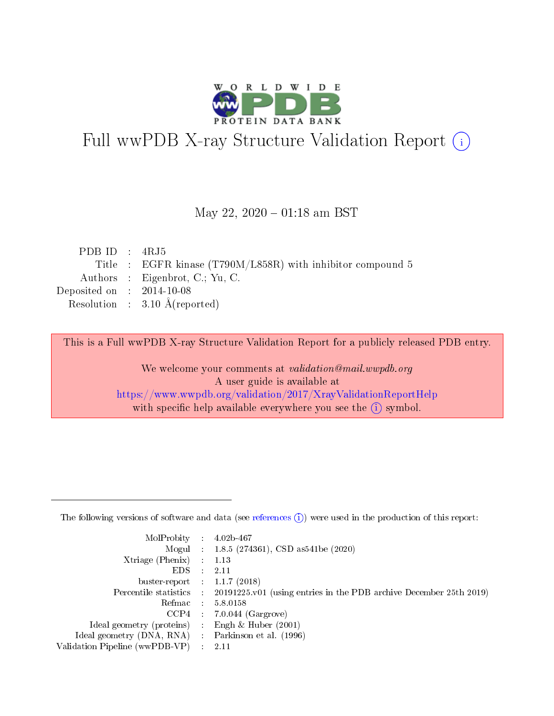

# Full wwPDB X-ray Structure Validation Report (i)

#### May 22,  $2020 - 01:18$  am BST

| PDB ID : $4RJ5$                      |                                                             |
|--------------------------------------|-------------------------------------------------------------|
|                                      | Title : EGFR kinase (T790M/L858R) with inhibitor compound 5 |
|                                      | Authors : Eigenbrot, C.; Yu, C.                             |
| Deposited on $\therefore$ 2014-10-08 |                                                             |
|                                      | Resolution : $3.10 \text{ Å}$ (reported)                    |

This is a Full wwPDB X-ray Structure Validation Report for a publicly released PDB entry.

We welcome your comments at validation@mail.wwpdb.org A user guide is available at <https://www.wwpdb.org/validation/2017/XrayValidationReportHelp> with specific help available everywhere you see the  $(i)$  symbol.

The following versions of software and data (see [references](https://www.wwpdb.org/validation/2017/XrayValidationReportHelp#references)  $(1)$ ) were used in the production of this report:

| $MolProbability$ 4.02b-467                          |                                                                                            |
|-----------------------------------------------------|--------------------------------------------------------------------------------------------|
|                                                     | Mogul : 1.8.5 (274361), CSD as 541 be (2020)                                               |
| $Xtriangle (Phenix)$ : 1.13                         |                                                                                            |
| $EDS$ :                                             | -2.11                                                                                      |
| buster-report : $1.1.7$ (2018)                      |                                                                                            |
|                                                     | Percentile statistics : 20191225.v01 (using entries in the PDB archive December 25th 2019) |
| Refmac $5.8.0158$                                   |                                                                                            |
|                                                     | $CCP4$ 7.0.044 (Gargrove)                                                                  |
| Ideal geometry (proteins) :                         | Engh $\&$ Huber (2001)                                                                     |
| Ideal geometry (DNA, RNA) : Parkinson et al. (1996) |                                                                                            |
| Validation Pipeline (wwPDB-VP) : 2.11               |                                                                                            |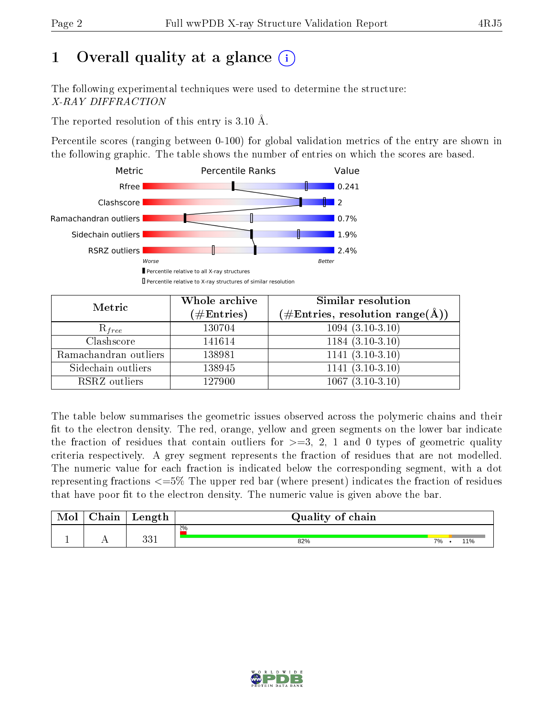# 1 [O](https://www.wwpdb.org/validation/2017/XrayValidationReportHelp#overall_quality)verall quality at a glance  $(i)$

The following experimental techniques were used to determine the structure: X-RAY DIFFRACTION

The reported resolution of this entry is 3.10 Å.

Percentile scores (ranging between 0-100) for global validation metrics of the entry are shown in the following graphic. The table shows the number of entries on which the scores are based.



| Metric                | Whole archive<br>$(\#\mathrm{Entries})$ | Similar resolution<br>$(\#\text{Entries},\, \text{resolution}\; \text{range}(\textup{\AA}))$ |  |  |
|-----------------------|-----------------------------------------|----------------------------------------------------------------------------------------------|--|--|
| $R_{free}$            | 130704                                  | $1094(3.10-3.10)$                                                                            |  |  |
| Clashscore            | 141614                                  | $1184(3.10-3.10)$                                                                            |  |  |
| Ramachandran outliers | 138981                                  | $1141 (3.10-3.10)$                                                                           |  |  |
| Sidechain outliers    | 138945                                  | $1141 (3.10-3.10)$                                                                           |  |  |
| RSRZ outliers         | 127900                                  | $1067(3.10-3.10)$                                                                            |  |  |

The table below summarises the geometric issues observed across the polymeric chains and their fit to the electron density. The red, orange, yellow and green segments on the lower bar indicate the fraction of residues that contain outliers for  $>=3, 2, 1$  and 0 types of geometric quality criteria respectively. A grey segment represents the fraction of residues that are not modelled. The numeric value for each fraction is indicated below the corresponding segment, with a dot representing fractions  $\epsilon=5\%$  The upper red bar (where present) indicates the fraction of residues that have poor fit to the electron density. The numeric value is given above the bar.

| Mol | $\cap$ hain | Length     | Quality of chain |           |  |  |  |  |
|-----|-------------|------------|------------------|-----------|--|--|--|--|
|     |             |            | $2\%$            |           |  |  |  |  |
|     |             | 991<br>ບບ⊥ | 82%              | 7%<br>11% |  |  |  |  |

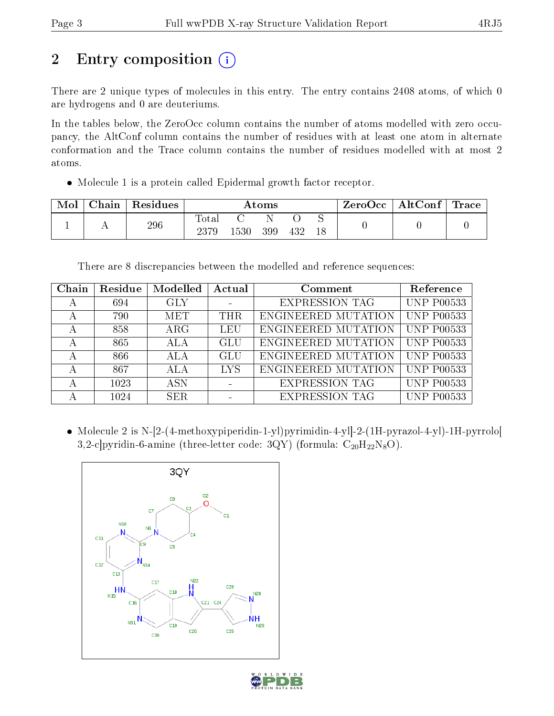# 2 Entry composition (i)

There are 2 unique types of molecules in this entry. The entry contains 2408 atoms, of which 0 are hydrogens and 0 are deuteriums.

In the tables below, the ZeroOcc column contains the number of atoms modelled with zero occupancy, the AltConf column contains the number of residues with at least one atom in alternate conformation and the Trace column contains the number of residues modelled with at most 2 atoms.

Molecule 1 is a protein called Epidermal growth factor receptor.

| Mol | Chain | Residues | $\rm{Atoms}$        |      |     |     | $ZeroOcc \mid AltConf \mid$ | Trace |  |
|-----|-------|----------|---------------------|------|-----|-----|-----------------------------|-------|--|
|     |       | 296      | $\rm Total$<br>2379 | .530 | 399 | 432 | ∼                           |       |  |

There are 8 discrepancies between the modelled and reference sequences:

| Chain | Residue | Modelled   | Actual     | Comment               | Reference         |
|-------|---------|------------|------------|-----------------------|-------------------|
|       | 694     | <b>GLY</b> |            | <b>EXPRESSION TAG</b> | <b>UNP P00533</b> |
|       | 790     | MET        | <b>THR</b> | ENGINEERED MUTATION   | <b>UNP P00533</b> |
|       | 858     | $\rm{ARG}$ | LEU        | ENGINEERED MUTATION   | <b>UNP P00533</b> |
|       | 865     | <b>ALA</b> | GLU        | ENGINEERED MUTATION   | <b>UNP P00533</b> |
|       | 866     | ALA        | GLU        | ENGINEERED MUTATION   | <b>UNP P00533</b> |
|       | 867     | <b>ALA</b> | <b>LYS</b> | ENGINEERED MUTATION   | <b>UNP P00533</b> |
|       | 1023    | <b>ASN</b> |            | <b>EXPRESSION TAG</b> | <b>UNP P00533</b> |
|       | 1024    | SER.       |            | <b>EXPRESSION TAG</b> | <b>UNP P00533</b> |

 Molecule 2 is N-[2-(4-methoxypiperidin-1-yl)pyrimidin-4-yl]-2-(1H-pyrazol-4-yl)-1H-pyrrolo[ 3,2-c]pyridin-6-amine (three-letter code: 3QY) (formula:  $C_{20}H_{22}N_8O$ ).



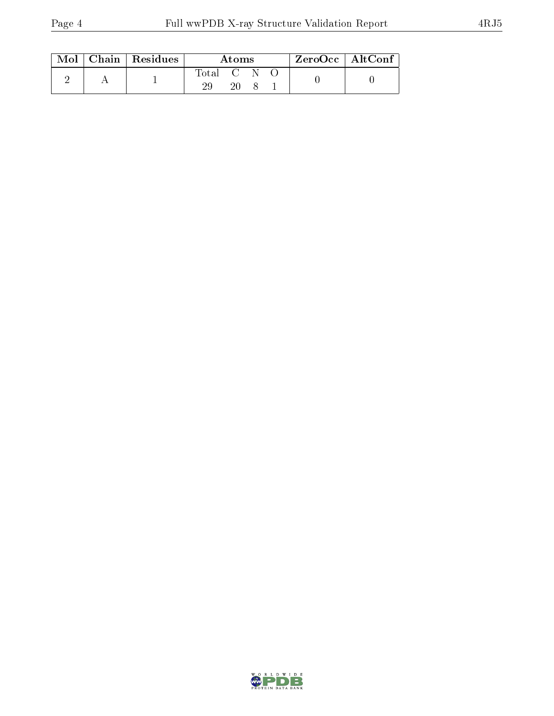|  |  | $\text{Mol}$   Chain   Residues | Atoms     |  |  | ZeroOcc   AltConf |  |
|--|--|---------------------------------|-----------|--|--|-------------------|--|
|  |  |                                 | Total C N |  |  |                   |  |
|  |  |                                 | 20        |  |  |                   |  |

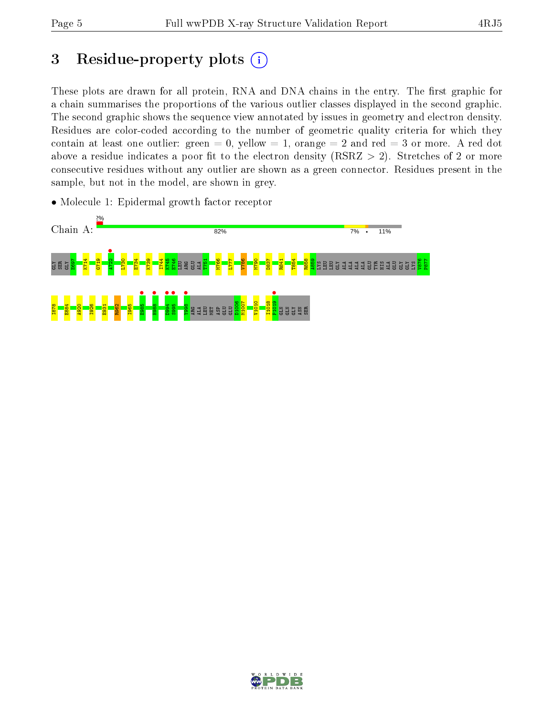# 3 Residue-property plots  $(i)$

These plots are drawn for all protein, RNA and DNA chains in the entry. The first graphic for a chain summarises the proportions of the various outlier classes displayed in the second graphic. The second graphic shows the sequence view annotated by issues in geometry and electron density. Residues are color-coded according to the number of geometric quality criteria for which they contain at least one outlier: green  $= 0$ , yellow  $= 1$ , orange  $= 2$  and red  $= 3$  or more. A red dot above a residue indicates a poor fit to the electron density (RSRZ  $> 2$ ). Stretches of 2 or more consecutive residues without any outlier are shown as a green connector. Residues present in the sample, but not in the model, are shown in grey.

• Molecule 1: Epidermal growth factor receptor



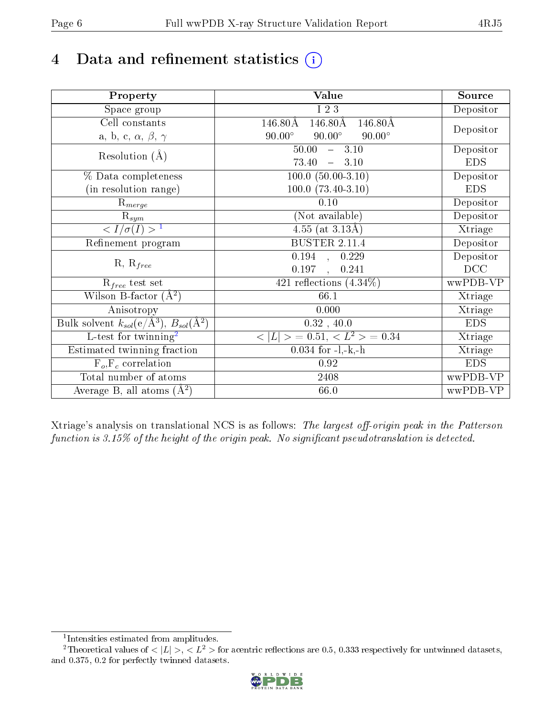# 4 Data and refinement statistics  $(i)$

| Property                                                   | <b>Value</b>                                                   | Source     |
|------------------------------------------------------------|----------------------------------------------------------------|------------|
| Space group                                                | I 2 3                                                          | Depositor  |
| Cell constants                                             | $146.80\text{\AA}$<br>$146.80\text{\AA}$<br>$146.80\text{\AA}$ |            |
| a, b, c, $\alpha$ , $\beta$ , $\gamma$                     | $90.00^\circ$<br>$90.00^\circ$<br>$90.00^\circ$                | Depositor  |
| Resolution $(A)$                                           | 50.00<br>$-3.10$                                               | Depositor  |
|                                                            | 73.40<br>3.10<br>$\frac{1}{2}$                                 | <b>EDS</b> |
| % Data completeness                                        | $100.0 (50.00-3.10)$                                           | Depositor  |
| (in resolution range)                                      | $100.0 (73.40-3.10)$                                           | <b>EDS</b> |
| $R_{merge}$                                                | 0.10                                                           | Depositor  |
| $\mathrm{R}_{sym}$                                         | (Not available)                                                | Depositor  |
| $\langle I/\sigma(I) \rangle^{-1}$                         | 4.55 (at $3.13\text{\AA}$ )                                    | Xtriage    |
| Refinement program                                         | <b>BUSTER 2.11.4</b>                                           | Depositor  |
|                                                            | $\overline{0.194}$ ,<br>0.229                                  | Depositor  |
| $R, R_{free}$                                              | 0.197<br>0.241<br>$\ddot{\phantom{a}}$                         | DCC        |
| $R_{free}$ test set                                        | 421 reflections $(4.34\%)$                                     | wwPDB-VP   |
| Wilson B-factor $(A^2)$                                    | 66.1                                                           | Xtriage    |
| Anisotropy                                                 | 0.000                                                          | Xtriage    |
| Bulk solvent $k_{sol}$ (e/Å <sup>3</sup> ), $B_{sol}(A^2)$ | $0.32$ , 40.0                                                  | <b>EDS</b> |
| $\overline{L-test for}$ twinning <sup>2</sup>              | $< L >$ = 0.51, $< L2 >$ = 0.34                                | Xtriage    |
| Estimated twinning fraction                                | $0.034$ for $-l,-k,-h$                                         | Xtriage    |
| $F_o, F_c$ correlation                                     | 0.92                                                           | <b>EDS</b> |
| Total number of atoms                                      | 2408                                                           | wwPDB-VP   |
| Average B, all atoms $(A^2)$                               | 66.0                                                           | wwPDB-VP   |

Xtriage's analysis on translational NCS is as follows: The largest off-origin peak in the Patterson function is  $3.15\%$  of the height of the origin peak. No significant pseudotranslation is detected.

<sup>&</sup>lt;sup>2</sup>Theoretical values of  $\langle |L| \rangle$ ,  $\langle L^2 \rangle$  for acentric reflections are 0.5, 0.333 respectively for untwinned datasets, and 0.375, 0.2 for perfectly twinned datasets.



<span id="page-5-1"></span><span id="page-5-0"></span><sup>1</sup> Intensities estimated from amplitudes.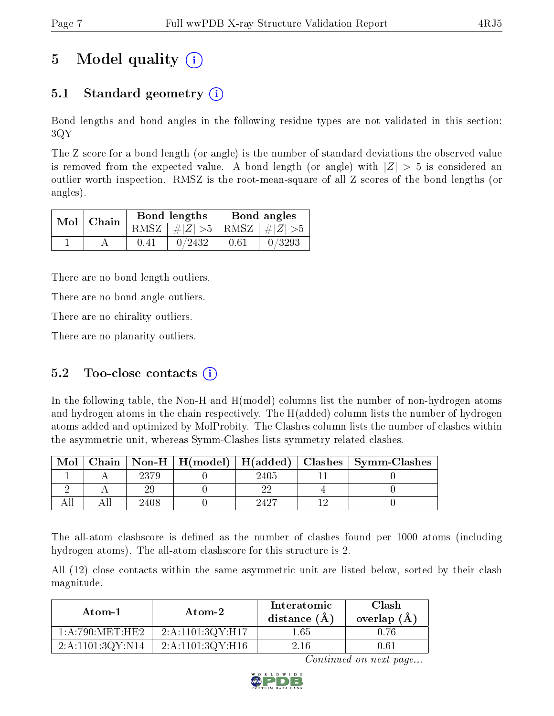## 5 Model quality  $(i)$

### 5.1 Standard geometry (i)

Bond lengths and bond angles in the following residue types are not validated in this section: 3QY

The Z score for a bond length (or angle) is the number of standard deviations the observed value is removed from the expected value. A bond length (or angle) with  $|Z| > 5$  is considered an outlier worth inspection. RMSZ is the root-mean-square of all Z scores of the bond lengths (or angles).

| $Mol$   Chain |      | Bond lengths                    | Bond angles |        |  |
|---------------|------|---------------------------------|-------------|--------|--|
|               |      | RMSZ $ #Z  > 5$ RMSZ $ #Z  > 5$ |             |        |  |
|               | 0.41 | 0/2432                          | 0.61        | 0/3293 |  |

There are no bond length outliers.

There are no bond angle outliers.

There are no chirality outliers.

There are no planarity outliers.

### 5.2 Too-close contacts  $(i)$

In the following table, the Non-H and H(model) columns list the number of non-hydrogen atoms and hydrogen atoms in the chain respectively. The H(added) column lists the number of hydrogen atoms added and optimized by MolProbity. The Clashes column lists the number of clashes within the asymmetric unit, whereas Symm-Clashes lists symmetry related clashes.

| Mol |      |      | Chain   Non-H   H(model)   H(added)   Clashes   Symm-Clashes |
|-----|------|------|--------------------------------------------------------------|
|     | 2379 | 2405 |                                                              |
|     |      |      |                                                              |
|     | 2408 | 9497 |                                                              |

The all-atom clashscore is defined as the number of clashes found per 1000 atoms (including hydrogen atoms). The all-atom clashscore for this structure is 2.

All (12) close contacts within the same asymmetric unit are listed below, sorted by their clash magnitude.

| Atom-1           | $\boldsymbol{\mathrm{Atom}\text{-}2}$ | Interatomic<br>distance $(\AA)$ | Clash<br>overlap $(A)$ |
|------------------|---------------------------------------|---------------------------------|------------------------|
| 1: A:790:MET:HE2 | 2:A:1101:3QY:H17                      | $1.65\,$                        | 0.76                   |
| 2:A:1101:3QY:N14 | 2:A:1101:3QY:H16                      | 2.16                            | 0.61                   |

Continued on next page...

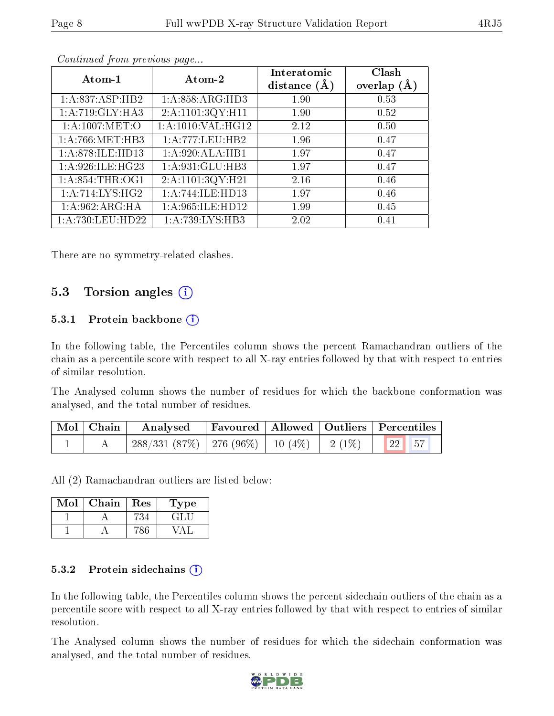| Atom-1              | Atom-2              | Interatomic<br>distance $(A)$ | Clash<br>overlap $(A)$ |
|---------------------|---------------------|-------------------------------|------------------------|
| 1:A:837:ASP:HB2     | 1: A:858: ARG:HD3   | 1.90                          | 0.53                   |
| 1:A:719:GLY:HA3     | 2:A:1101:3QY:H11    | 1.90                          | 0.52                   |
| 1: A:1007: MET:O    | 1:A:1010:VAL:HG12   | 2.12                          | 0.50                   |
| 1: A:766:MET:HB3    | 1:A:777:LEU:HB2     | 1.96                          | 0.47                   |
| 1:A:878:ILE:HD13    | 1:A:920:ALA:HB1     | 1.97                          | 0.47                   |
| 1: A:926: ILE: HG23 | 1:A:931:GLU:HB3     | 1.97                          | 0.47                   |
| 1: A:854:THR:OG1    | 2:A:1101:3QY:H21    | 2.16                          | 0.46                   |
| 1: A:714: LYS: HG2  | 1:A:744:ILE:HD13    | 1.97                          | 0.46                   |
| 1:A:962:ARG:HA      | 1: A:965: ILE: HD12 | 1.99                          | 0.45                   |
| 1:A:730:LEU:HD22    | 1:A:739:LYS:HB3     | 2.02                          | 0.41                   |

Continued from previous page...

There are no symmetry-related clashes.

### 5.3 Torsion angles (i)

#### 5.3.1 Protein backbone  $(i)$

In the following table, the Percentiles column shows the percent Ramachandran outliers of the chain as a percentile score with respect to all X-ray entries followed by that with respect to entries of similar resolution.

The Analysed column shows the number of residues for which the backbone conformation was analysed, and the total number of residues.

| $\mid$ Mol $\mid$ Chain $\mid$ |                                                            | Analysed Favoured Allowed Outliers Percentiles |  |  |  |  |
|--------------------------------|------------------------------------------------------------|------------------------------------------------|--|--|--|--|
|                                | $288/331$ (87\%)   276 (96\%)   10 (4\%)   2 (1\%)   22 57 |                                                |  |  |  |  |

All (2) Ramachandran outliers are listed below:

| Mol | Chain | Res | L'ype |  |  |
|-----|-------|-----|-------|--|--|
|     |       |     | メミレコー |  |  |
|     |       |     |       |  |  |

#### 5.3.2 Protein sidechains  $(i)$

In the following table, the Percentiles column shows the percent sidechain outliers of the chain as a percentile score with respect to all X-ray entries followed by that with respect to entries of similar resolution.

The Analysed column shows the number of residues for which the sidechain conformation was analysed, and the total number of residues.

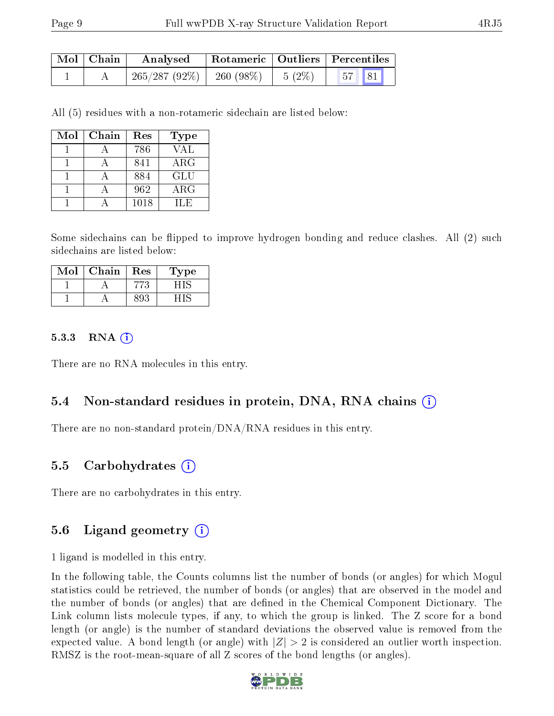| Mol   Chain | Analysed                                | Rotameric   Outliers   Percentiles |                                 |  |  |
|-------------|-----------------------------------------|------------------------------------|---------------------------------|--|--|
|             | $265/287 (92\%)$   260 (98\%)   5 (2\%) |                                    | $\vert 57 \vert \vert 81 \vert$ |  |  |

All (5) residues with a non-rotameric sidechain are listed below:

| Mol | $Chain$ | Res  | Type        |  |  |
|-----|---------|------|-------------|--|--|
|     |         | 786  | VAL         |  |  |
|     |         | 841  | ${\rm ARG}$ |  |  |
|     |         | 884  | GLU         |  |  |
|     |         | 962  | ${\rm ARG}$ |  |  |
|     |         | 1018 | IL E        |  |  |

Some sidechains can be flipped to improve hydrogen bonding and reduce clashes. All (2) such sidechains are listed below:

| $\Omega$ | Chain | Res | L'ype |
|----------|-------|-----|-------|
|          |       |     |       |
|          |       |     |       |

#### 5.3.3 RNA (1)

There are no RNA molecules in this entry.

### 5.4 Non-standard residues in protein, DNA, RNA chains (i)

There are no non-standard protein/DNA/RNA residues in this entry.

### 5.5 Carbohydrates (i)

There are no carbohydrates in this entry.

### 5.6 Ligand geometry (i)

1 ligand is modelled in this entry.

In the following table, the Counts columns list the number of bonds (or angles) for which Mogul statistics could be retrieved, the number of bonds (or angles) that are observed in the model and the number of bonds (or angles) that are dened in the Chemical Component Dictionary. The Link column lists molecule types, if any, to which the group is linked. The Z score for a bond length (or angle) is the number of standard deviations the observed value is removed from the expected value. A bond length (or angle) with  $|Z| > 2$  is considered an outlier worth inspection. RMSZ is the root-mean-square of all Z scores of the bond lengths (or angles).

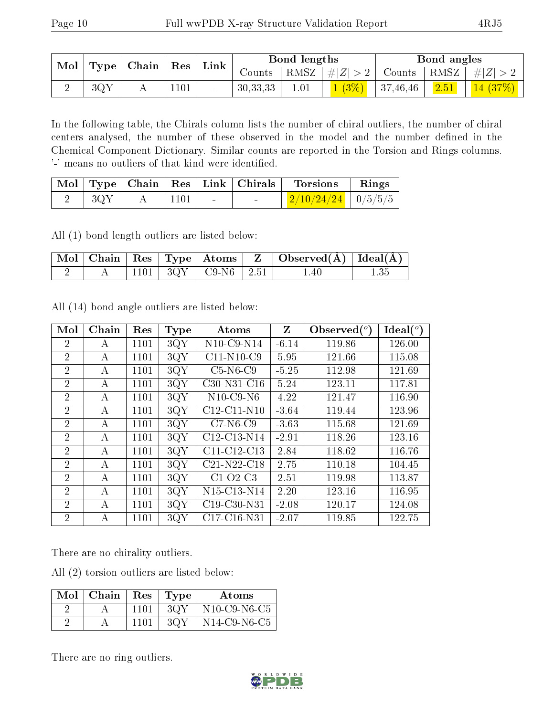| $\text{Mol}$   Type   Chain | $\operatorname{Res}$ | Link |            | Bond lengths |                      |          | Bond angles    |                                                                              |
|-----------------------------|----------------------|------|------------|--------------|----------------------|----------|----------------|------------------------------------------------------------------------------|
|                             |                      |      | Counts     |              |                      |          |                | $\mid$ RMSZ $\mid$ $\# Z  > 2 \mid$ Counts $\mid$ RMSZ $\mid \# Z  > 2 \mid$ |
| 3QY                         | 1101                 |      | 30, 33, 33 | 1.01         | $1(3\%)$   $\degree$ | 37,46,46 | $\boxed{2.51}$ | $\mid$ 14 (37%) $\mid$                                                       |

In the following table, the Chirals column lists the number of chiral outliers, the number of chiral centers analysed, the number of these observed in the model and the number defined in the Chemical Component Dictionary. Similar counts are reported in the Torsion and Rings columns. '-' means no outliers of that kind were identified.

|                  |              |                                   | Mol   Type   Chain   Res   Link   Chirals   Torsions   Rings |  |
|------------------|--------------|-----------------------------------|--------------------------------------------------------------|--|
| $-3 \mathrm{QY}$ | $\vert$ 1101 | <b>Contract Contract Contract</b> | $\frac{2}{10/24/24}$   0/5/5/5                               |  |

All (1) bond length outliers are listed below:

|  |  |                               | $\vert$ Mol   Chain   Res   Type   Atoms   Z   Observed $(\AA)$   Ideal $(\AA)$ |  |
|--|--|-------------------------------|---------------------------------------------------------------------------------|--|
|  |  | $1101$   $3QY$   C9-N6   2.51 | 1.40                                                                            |  |

All (14) bond angle outliers are listed below:

| Mol            | Chain | Res  | <b>Type</b> | Atoms                                             | Z       | Observed $(°)$ | Ideal $(^{\circ}$ |
|----------------|-------|------|-------------|---------------------------------------------------|---------|----------------|-------------------|
| 2              | А     | 1101 | 3QY         | $N10$ -C9- $N14$                                  | $-6.14$ | 119.86         | 126.00            |
| $\overline{2}$ | А     | 1101 | 3QY         | $C11-N10-C9$                                      | 5.95    | 121.66         | 115.08            |
| $\overline{2}$ | А     | 1101 | 3QY         | $C5-N6-C9$                                        | $-5.25$ | 112.98         | 121.69            |
| $\overline{2}$ | А     | 1101 | 3QY         | $C30-N31-C16$                                     | 5.24    | 123.11         | 117.81            |
| $\overline{2}$ | А     | 1101 | 3QY         | $N10$ -C9-N6                                      | 4.22    | 121.47         | 116.90            |
| $\overline{2}$ | А     | 1101 | 3QY         | $C12-C11-N10$                                     | $-3.64$ | 119.44         | 123.96            |
| $\overline{2}$ | А     | 1101 | 3QY         | $C7-N6-C9$                                        | $-3.63$ | 115.68         | 121.69            |
| $\overline{2}$ | А     | 1101 | 3QY         | $C12-C13-N14$                                     | $-2.91$ | 118.26         | 123.16            |
| $\overline{2}$ | A     | 1101 | 3QY         | C11-C12-C13                                       | 2.84    | 118.62         | 116.76            |
| $\overline{2}$ | А     | 1101 | 3QY         | $C21-N22-C18$                                     | 2.75    | 110.18         | 104.45            |
| $\overline{2}$ | А     | 1101 | 3QY         | $C1-O2-C3$                                        | 2.51    | 119.98         | 113.87            |
| $\overline{2}$ | А     | 1101 | 3QY         | N15-C13-N14                                       | 2.20    | 123.16         | 116.95            |
| $\overline{2}$ | А     | 1101 | 3QY         | C <sub>19</sub> -C <sub>30</sub> -N <sub>31</sub> | $-2.08$ | 120.17         | 124.08            |
| $\overline{2}$ | А     | 1101 | 3QY         | C <sub>17</sub> -C <sub>16</sub> -N <sub>31</sub> | $-2.07$ | 119.85         | 122.75            |

There are no chirality outliers.

All (2) torsion outliers are listed below:

| $Mol$   Chain | $\operatorname{Res}$ | Type | Atoms                                                          |
|---------------|----------------------|------|----------------------------------------------------------------|
|               | 1101                 | 3QY  | $N10$ -C9-N6-C5                                                |
|               | 1101                 | 3OY  | N <sub>14</sub> C <sub>9</sub> -N <sub>6</sub> -C <sub>5</sub> |

There are no ring outliers.

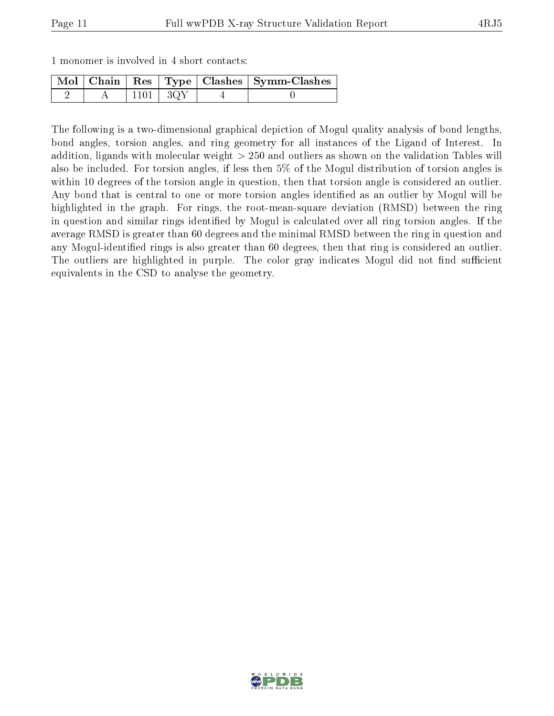|  | 1 monomer is involved in 4 short contacts: |  |  |  |  |  |  |  |
|--|--------------------------------------------|--|--|--|--|--|--|--|
|--|--------------------------------------------|--|--|--|--|--|--|--|

|  |                | Mol   Chain   Res   Type   Clashes   Symm-Clashes |
|--|----------------|---------------------------------------------------|
|  | $1101$   $3QY$ |                                                   |

The following is a two-dimensional graphical depiction of Mogul quality analysis of bond lengths, bond angles, torsion angles, and ring geometry for all instances of the Ligand of Interest. In addition, ligands with molecular weight > 250 and outliers as shown on the validation Tables will also be included. For torsion angles, if less then 5% of the Mogul distribution of torsion angles is within 10 degrees of the torsion angle in question, then that torsion angle is considered an outlier. Any bond that is central to one or more torsion angles identified as an outlier by Mogul will be highlighted in the graph. For rings, the root-mean-square deviation (RMSD) between the ring in question and similar rings identified by Mogul is calculated over all ring torsion angles. If the average RMSD is greater than 60 degrees and the minimal RMSD between the ring in question and any Mogul-identied rings is also greater than 60 degrees, then that ring is considered an outlier. The outliers are highlighted in purple. The color gray indicates Mogul did not find sufficient equivalents in the CSD to analyse the geometry.

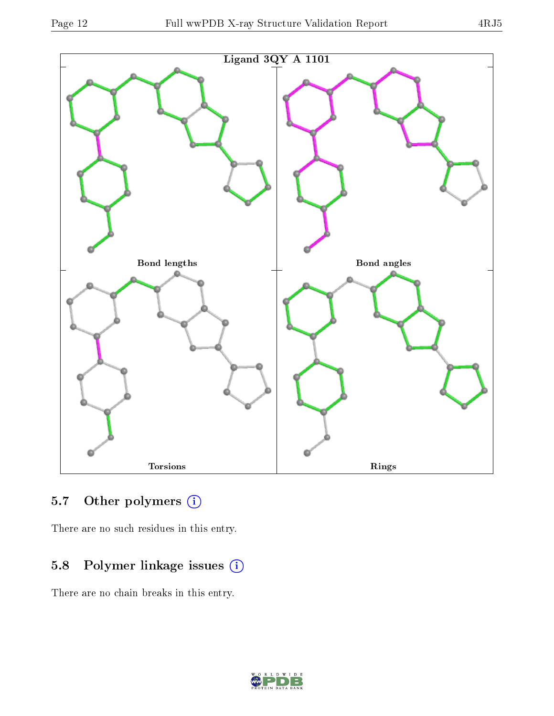

## 5.7 [O](https://www.wwpdb.org/validation/2017/XrayValidationReportHelp#nonstandard_residues_and_ligands)ther polymers (i)

There are no such residues in this entry.

## 5.8 Polymer linkage issues (i)

There are no chain breaks in this entry.

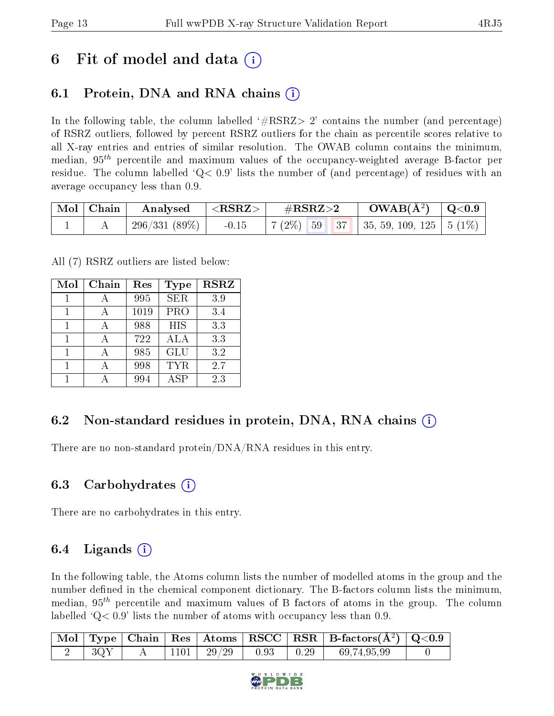## 6 Fit of model and data  $\left( \cdot \right)$

### 6.1 Protein, DNA and RNA chains (i)

In the following table, the column labelled  $#RSRZ>2'$  contains the number (and percentage) of RSRZ outliers, followed by percent RSRZ outliers for the chain as percentile scores relative to all X-ray entries and entries of similar resolution. The OWAB column contains the minimum, median,  $95<sup>th</sup>$  percentile and maximum values of the occupancy-weighted average B-factor per residue. The column labelled  $Q< 0.9$  lists the number of (and percentage) of residues with an average occupancy less than 0.9.

| $\mid$ Mol $\mid$ Chain $\mid$ | $\vert$ Analysed $\vert$ <rsrz> <math>\vert</math></rsrz> | $\parallel \quad \# \text{RSRZ}{>}2$                             | $\rm{OWAB}(\AA^2)$ $\mid$ Q<0.9 |  |
|--------------------------------|-----------------------------------------------------------|------------------------------------------------------------------|---------------------------------|--|
|                                |                                                           | 296/331 (89%)   -0.15   7 (2%) 59 37   35, 59, 109, 125   5 (1%) |                                 |  |

All (7) RSRZ outliers are listed below:

| Mol | Chain | Res  | Type       | <b>RSRZ</b> |
|-----|-------|------|------------|-------------|
|     |       | 995  | <b>SER</b> | 3.9         |
| 1   |       | 1019 | PRO        | 3.4         |
| 1   |       | 988  | HIS        | 3.3         |
| 1   |       | 722  | ALA        | 3.3         |
|     |       | 985  | <b>GLU</b> | 3.2         |
| 1   |       | 998  | <b>TYR</b> | 2.7         |
|     |       | 994  | ASP        | 2.3         |

### 6.2 Non-standard residues in protein, DNA, RNA chains  $(i)$

There are no non-standard protein/DNA/RNA residues in this entry.

### 6.3 Carbohydrates  $(i)$

There are no carbohydrates in this entry.

### 6.4 Ligands  $(i)$

In the following table, the Atoms column lists the number of modelled atoms in the group and the number defined in the chemical component dictionary. The B-factors column lists the minimum, median,  $95<sup>th</sup>$  percentile and maximum values of B factors of atoms in the group. The column labelled  $Q< 0.9$  lists the number of atoms with occupancy less than 0.9.

|     |  |                |      |                    | $\vert$ Mol $\vert$ Type $\vert$ Chain $\vert$ Res $\vert$ Atoms $\vert$ RSCC $\vert$ RSR $\vert$ B-factors(A <sup>2</sup> ) $\vert$ Q<0.9 |  |
|-----|--|----------------|------|--------------------|--------------------------------------------------------------------------------------------------------------------------------------------|--|
| 3QY |  | $1101$   29/29 | 0.93 | $\vert 0.29 \vert$ | 69,74,95,99                                                                                                                                |  |